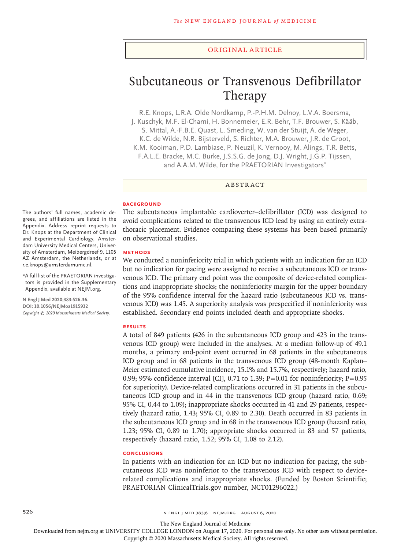Original Article

# Subcutaneous or Transvenous Defibrillator Therapy

R.E. Knops, L.R.A. Olde Nordkamp, P.-P.H.M. Delnoy, L.V.A. Boersma, J. Kuschyk, M.F. El-Chami, H. Bonnemeier, E.R. Behr, T.F. Brouwer, S. Kääb, S. Mittal, A.-F.B.E. Quast, L. Smeding, W. van der Stuijt, A. de Weger, K.C. de Wilde, N.R. Bijsterveld, S. Richter, M.A. Brouwer, J.R. de Groot, K.M. Kooiman, P.D. Lambiase, P. Neuzil, K. Vernooy, M. Alings, T.R. Betts, F.A.L.E. Bracke, M.C. Burke, J.S.S.G. de Jong, D.J. Wright, J.G.P. Tijssen, and A.A.M. Wilde, for the PRAETORIAN Investigators\*

## ABSTRACT

#### **BACKGROUND**

The subcutaneous implantable cardioverter–defibrillator (ICD) was designed to avoid complications related to the transvenous ICD lead by using an entirely extrathoracic placement. Evidence comparing these systems has been based primarily on observational studies.

#### **METHODS**

We conducted a noninferiority trial in which patients with an indication for an ICD but no indication for pacing were assigned to receive a subcutaneous ICD or transvenous ICD. The primary end point was the composite of device-related complications and inappropriate shocks; the noninferiority margin for the upper boundary of the 95% confidence interval for the hazard ratio (subcutaneous ICD vs. transvenous ICD) was 1.45. A superiority analysis was prespecified if noninferiority was established. Secondary end points included death and appropriate shocks.

#### **RESULTS**

A total of 849 patients (426 in the subcutaneous ICD group and 423 in the transvenous ICD group) were included in the analyses. At a median follow-up of 49.1 months, a primary end-point event occurred in 68 patients in the subcutaneous ICD group and in 68 patients in the transvenous ICD group (48-month Kaplan– Meier estimated cumulative incidence, 15.1% and 15.7%, respectively; hazard ratio, 0.99; 95% confidence interval [CI], 0.71 to 1.39;  $P = 0.01$  for noninferiority;  $P = 0.95$ for superiority). Device-related complications occurred in 31 patients in the subcutaneous ICD group and in 44 in the transvenous ICD group (hazard ratio, 0.69; 95% CI, 0.44 to 1.09); inappropriate shocks occurred in 41 and 29 patients, respectively (hazard ratio, 1.43; 95% CI, 0.89 to 2.30). Death occurred in 83 patients in the subcutaneous ICD group and in 68 in the transvenous ICD group (hazard ratio, 1.23; 95% CI, 0.89 to 1.70); appropriate shocks occurred in 83 and 57 patients, respectively (hazard ratio, 1.52; 95% CI, 1.08 to 2.12).

#### **CONCLUSIONS**

In patients with an indication for an ICD but no indication for pacing, the subcutaneous ICD was noninferior to the transvenous ICD with respect to devicerelated complications and inappropriate shocks. (Funded by Boston Scientific; PRAETORIAN ClinicalTrials.gov number, NCT01296022.)

The authors' full names, academic degrees, and affiliations are listed in the Appendix. Address reprint requests to Dr. Knops at the Department of Clinical and Experimental Cardiology, Amsterdam University Medical Centers, University of Amsterdam, Meibergdreef 9, 1105 AZ Amsterdam, the Netherlands, or at r.e.knops@amsterdamumc.nl.

\*A full list of the PRAETORIAN investigators is provided in the Supplementary Appendix, available at NEJM.org.

**N Engl J Med 2020;383:526-36. DOI: 10.1056/NEJMoa1915932** *Copyright © 2020 Massachusetts Medical Society.*

The New England Journal of Medicine

Downloaded from nejm.org at UNIVERSITY COLLEGE LONDON on August 17, 2020. For personal use only. No other uses without permission.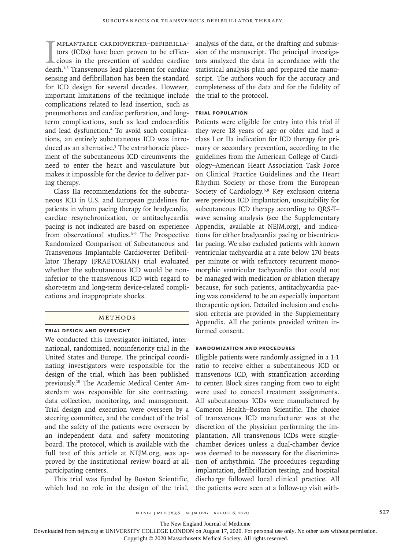$\prod_{\text{deap}}$ mplantable cardioverter–defibrillators (ICDs) have been proven to be efficacious in the prevention of sudden cardiac death.<sup>1-3</sup> Transvenous lead placement for cardiac sensing and defibrillation has been the standard for ICD design for several decades. However, important limitations of the technique include complications related to lead insertion, such as pneumothorax and cardiac perforation, and longterm complications, such as lead endocarditis and lead dysfunction.4 To avoid such complications, an entirely subcutaneous ICD was introduced as an alternative.<sup>5</sup> The extrathoracic placement of the subcutaneous ICD circumvents the need to enter the heart and vasculature but makes it impossible for the device to deliver pacing therapy.

Class IIa recommendations for the subcutaneous ICD in U.S. and European guidelines for patients in whom pacing therapy for bradycardia, cardiac resynchronization, or antitachycardia pacing is not indicated are based on experience from observational studies.<sup>6-9</sup> The Prospective Randomized Comparison of Subcutaneous and Transvenous Implantable Cardioverter Defibrillator Therapy (PRAETORIAN) trial evaluated whether the subcutaneous ICD would be noninferior to the transvenous ICD with regard to short-term and long-term device-related complications and inappropriate shocks.

#### Methods

#### **Trial Design and Oversight**

We conducted this investigator-initiated, international, randomized, noninferiority trial in the United States and Europe. The principal coordinating investigators were responsible for the design of the trial, which has been published previously.10 The Academic Medical Center Amsterdam was responsible for site contracting, data collection, monitoring, and management. Trial design and execution were overseen by a steering committee, and the conduct of the trial and the safety of the patients were overseen by an independent data and safety monitoring board. The protocol, which is available with the full text of this article at NEJM.org, was approved by the institutional review board at all participating centers.

This trial was funded by Boston Scientific, which had no role in the design of the trial,

analysis of the data, or the drafting and submission of the manuscript. The principal investigators analyzed the data in accordance with the statistical analysis plan and prepared the manuscript. The authors vouch for the accuracy and completeness of the data and for the fidelity of the trial to the protocol.

# **Trial Population**

Patients were eligible for entry into this trial if they were 18 years of age or older and had a class I or IIa indication for ICD therapy for primary or secondary prevention, according to the guidelines from the American College of Cardiology–American Heart Association Task Force on Clinical Practice Guidelines and the Heart Rhythm Society or those from the European Society of Cardiology.6,8 Key exclusion criteria were previous ICD implantation, unsuitability for subcutaneous ICD therapy according to QRS-T– wave sensing analysis (see the Supplementary Appendix, available at NEJM.org), and indications for either bradycardia pacing or biventricular pacing. We also excluded patients with known ventricular tachycardia at a rate below 170 beats per minute or with refractory recurrent monomorphic ventricular tachycardia that could not be managed with medication or ablation therapy because, for such patients, antitachycardia pacing was considered to be an especially important therapeutic option. Detailed inclusion and exclusion criteria are provided in the Supplementary Appendix. All the patients provided written informed consent.

#### **Randomization and Procedures**

Eligible patients were randomly assigned in a 1:1 ratio to receive either a subcutaneous ICD or transvenous ICD, with stratification according to center. Block sizes ranging from two to eight were used to conceal treatment assignments. All subcutaneous ICDs were manufactured by Cameron Health–Boston Scientific. The choice of transvenous ICD manufacturer was at the discretion of the physician performing the implantation. All transvenous ICDs were singlechamber devices unless a dual-chamber device was deemed to be necessary for the discrimination of arrhythmia. The procedures regarding implantation, defibrillation testing, and hospital discharge followed local clinical practice. All the patients were seen at a follow-up visit with-

The New England Journal of Medicine

Downloaded from nejm.org at UNIVERSITY COLLEGE LONDON on August 17, 2020. For personal use only. No other uses without permission.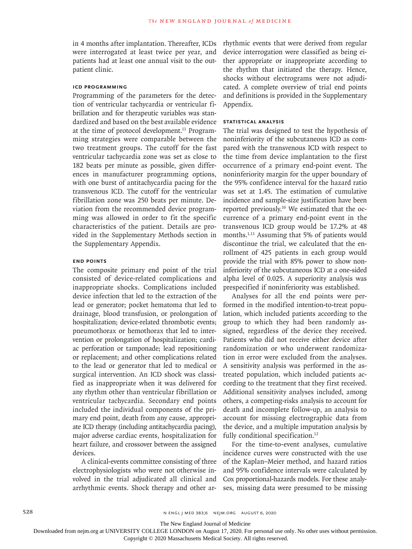in 4 months after implantation. Thereafter, ICDs were interrogated at least twice per year, and patients had at least one annual visit to the outpatient clinic.

# **ICD Programming**

Programming of the parameters for the detection of ventricular tachycardia or ventricular fibrillation and for therapeutic variables was standardized and based on the best available evidence at the time of protocol development.<sup>11</sup> Programming strategies were comparable between the two treatment groups. The cutoff for the fast ventricular tachycardia zone was set as close to 182 beats per minute as possible, given differences in manufacturer programming options, with one burst of antitachycardia pacing for the transvenous ICD. The cutoff for the ventricular fibrillation zone was 250 beats per minute. Deviation from the recommended device programming was allowed in order to fit the specific characteristics of the patient. Details are provided in the Supplementary Methods section in the Supplementary Appendix.

#### **End Points**

The composite primary end point of the trial consisted of device-related complications and inappropriate shocks. Complications included device infection that led to the extraction of the lead or generator; pocket hematoma that led to drainage, blood transfusion, or prolongation of hospitalization; device-related thrombotic events; pneumothorax or hemothorax that led to intervention or prolongation of hospitalization; cardiac perforation or tamponade; lead repositioning or replacement; and other complications related to the lead or generator that led to medical or surgical intervention. An ICD shock was classified as inappropriate when it was delivered for any rhythm other than ventricular fibrillation or ventricular tachycardia. Secondary end points included the individual components of the primary end point, death from any cause, appropriate ICD therapy (including antitachycardia pacing), major adverse cardiac events, hospitalization for heart failure, and crossover between the assigned devices.

A clinical-events committee consisting of three electrophysiologists who were not otherwise involved in the trial adjudicated all clinical and arrhythmic events. Shock therapy and other arrhythmic events that were derived from regular device interrogation were classified as being either appropriate or inappropriate according to the rhythm that initiated the therapy. Hence, shocks without electrograms were not adjudicated. A complete overview of trial end points and definitions is provided in the Supplementary Appendix.

#### **Statistical Analysis**

The trial was designed to test the hypothesis of noninferiority of the subcutaneous ICD as compared with the transvenous ICD with respect to the time from device implantation to the first occurrence of a primary end-point event. The noninferiority margin for the upper boundary of the 95% confidence interval for the hazard ratio was set at 1.45. The estimation of cumulative incidence and sample-size justification have been reported previously.10 We estimated that the occurrence of a primary end-point event in the transvenous ICD group would be 17.2% at 48 months.1,11 Assuming that 5% of patients would discontinue the trial, we calculated that the enrollment of 425 patients in each group would provide the trial with 85% power to show noninferiority of the subcutaneous ICD at a one-sided alpha level of 0.025. A superiority analysis was prespecified if noninferiority was established.

Analyses for all the end points were performed in the modified intention-to-treat population, which included patients according to the group to which they had been randomly assigned, regardless of the device they received. Patients who did not receive either device after randomization or who underwent randomization in error were excluded from the analyses. A sensitivity analysis was performed in the astreated population, which included patients according to the treatment that they first received. Additional sensitivity analyses included, among others, a competing-risks analysis to account for death and incomplete follow-up, an analysis to account for missing electrographic data from the device, and a multiple imputation analysis by fully conditional specification.<sup>12</sup>

For the time-to-event analyses, cumulative incidence curves were constructed with the use of the Kaplan–Meier method, and hazard ratios and 95% confidence intervals were calculated by Cox proportional-hazards models. For these analyses, missing data were presumed to be missing

The New England Journal of Medicine

Downloaded from nejm.org at UNIVERSITY COLLEGE LONDON on August 17, 2020. For personal use only. No other uses without permission.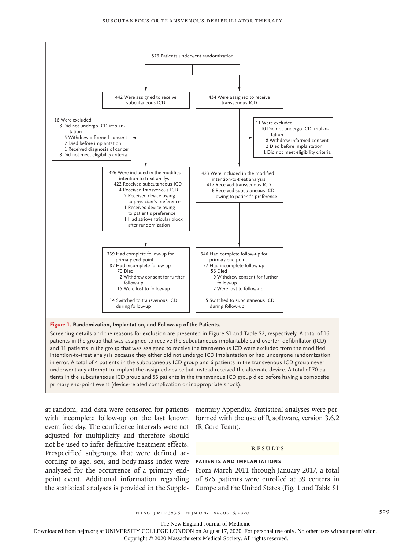

#### **Figure 1. Randomization, Implantation, and Follow-up of the Patients.**

Screening details and the reasons for exclusion are presented in Figure S1 and Table S2, respectively. A total of 16 patients in the group that was assigned to receive the subcutaneous implantable cardioverter–defibrillator (ICD) and 11 patients in the group that was assigned to receive the transvenous ICD were excluded from the modified intention-to-treat analysis because they either did not undergo ICD implantation or had undergone randomization in error. A total of 4 patients in the subcutaneous ICD group and 6 patients in the transvenous ICD group never underwent any attempt to implant the assigned device but instead received the alternate device. A total of 70 patients in the subcutaneous ICD group and 56 patients in the transvenous ICD group died before having a composite primary end-point event (device-related complication or inappropriate shock).

at random, and data were censored for patients mentary Appendix. Statistical analyses were perwith incomplete follow-up on the last known formed with the use of R software, version 3.6.2 event-free day. The confidence intervals were not (R Core Team). adjusted for multiplicity and therefore should not be used to infer definitive treatment effects. Prespecified subgroups that were defined according to age, sex, and body-mass index were **Patients and Implantations** analyzed for the occurrence of a primary end-From March 2011 through January 2017, a total point event. Additional information regarding of 876 patients were enrolled at 39 centers in the statistical analyses is provided in the Supple-Europe and the United States (Fig. 1 and Table S1

#### **RESULTS**

The New England Journal of Medicine

Downloaded from nejm.org at UNIVERSITY COLLEGE LONDON on August 17, 2020. For personal use only. No other uses without permission.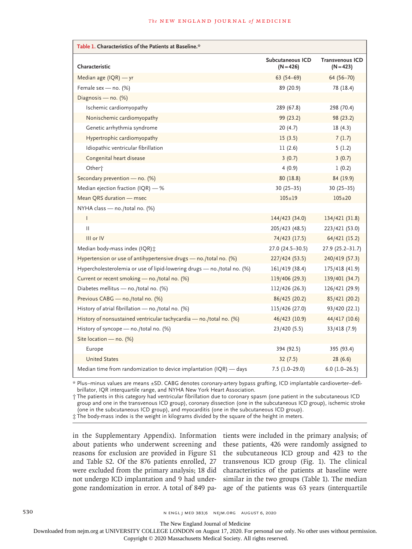| Table 1. Characteristics of the Patients at Baseline.*                  |                                 |                                       |
|-------------------------------------------------------------------------|---------------------------------|---------------------------------------|
| Characteristic                                                          | Subcutaneous ICD<br>$(N = 426)$ | <b>Transvenous ICD</b><br>$(N = 423)$ |
| Median age (IQR) - yr                                                   | $63(54-69)$                     | 64 (56-70)                            |
| Female sex - no. (%)                                                    | 89 (20.9)                       | 78 (18.4)                             |
| Diagnosis - no. (%)                                                     |                                 |                                       |
| Ischemic cardiomyopathy                                                 | 289 (67.8)                      | 298 (70.4)                            |
| Nonischemic cardiomyopathy                                              | 99 (23.2)                       | 98 (23.2)                             |
| Genetic arrhythmia syndrome                                             | 20(4.7)                         | 18(4.3)                               |
| Hypertrophic cardiomyopathy                                             | 15(3.5)                         | 7(1.7)                                |
| Idiopathic ventricular fibrillation                                     | 11(2.6)                         | 5(1.2)                                |
| Congenital heart disease                                                | 3(0.7)                          | 3(0.7)                                |
| Other <sup>+</sup>                                                      | 4(0.9)                          | 1(0.2)                                |
| Secondary prevention - no. (%)                                          | 80 (18.8)                       | 84 (19.9)                             |
| Median ejection fraction (IQR) - %                                      | $30(25-35)$                     | $30(25-35)$                           |
| Mean QRS duration - msec                                                | $105 \pm 19$                    | $105 \pm 20$                          |
| NYHA class - no./total no. (%)                                          |                                 |                                       |
| $\mathsf{I}$                                                            | 144/423 (34.0)                  | 134/421 (31.8)                        |
| $\mathbf{H}$                                                            | 205/423 (48.5)                  | 223/421 (53.0)                        |
| III or IV                                                               | 74/423 (17.5)                   | 64/421 (15.2)                         |
| Median body-mass index (IQR) $\dot{x}$                                  | 27.0 (24.5-30.5)                | 27.9 (25.2-31.7)                      |
| Hypertension or use of antihypertensive drugs - no./total no. (%)       | 227/424 (53.5)                  | 240/419 (57.3)                        |
| Hypercholesterolemia or use of lipid-lowering drugs - no./total no. (%) | 161/419 (38.4)                  | 175/418 (41.9)                        |
| Current or recent smoking - no./total no. (%)                           | 119/406 (29.3)                  | 139/401 (34.7)                        |
| Diabetes mellitus - no./total no. (%)                                   | 112/426 (26.3)                  | 126/421 (29.9)                        |
| Previous CABG - no./total no. (%)                                       | 86/425 (20.2)                   | 85/421 (20.2)                         |
| History of atrial fibrillation - no./total no. (%)                      | 115/426 (27.0)                  | 93/420 (22.1)                         |
| History of nonsustained ventricular tachycardia - no./total no. (%)     | 46/423 (10.9)                   | 44/417 (10.6)                         |
| History of syncope - no./total no. (%)                                  | 23/420 (5.5)                    | 33/418 (7.9)                          |
| Site location - no. (%)                                                 |                                 |                                       |
| Europe                                                                  | 394 (92.5)                      | 395 (93.4)                            |
| <b>United States</b>                                                    | 32(7.5)                         | 28(6.6)                               |
| Median time from randomization to device implantation $(IQR)$ — days    | $7.5(1.0-29.0)$                 | $6.0(1.0-26.5)$                       |

\* Plus–minus values are means ±SD. CABG denotes coronary-artery bypass grafting, ICD implantable cardioverter–defibrillator, IQR interquartile range, and NYHA New York Heart Association.

† The patients in this category had ventricular fibrillation due to coronary spasm (one patient in the subcutaneous ICD group and one in the transvenous ICD group), coronary dissection (one in the subcutaneous ICD group), ischemic stroke (one in the subcutaneous ICD group), and myocarditis (one in the subcutaneous ICD group).

‡ The body-mass index is the weight in kilograms divided by the square of the height in meters.

in the Supplementary Appendix). Information about patients who underwent screening and reasons for exclusion are provided in Figure S1 and Table S2. Of the 876 patients enrolled, 27 were excluded from the primary analysis; 18 did not undergo ICD implantation and 9 had undergone randomization in error. A total of 849 pa-

tients were included in the primary analysis; of these patients, 426 were randomly assigned to the subcutaneous ICD group and 423 to the transvenous ICD group (Fig. 1). The clinical characteristics of the patients at baseline were similar in the two groups (Table 1). The median age of the patients was 63 years (interquartile

530 n engl j med 383;6 nejm.org August 6, 2020

The New England Journal of Medicine

Downloaded from nejm.org at UNIVERSITY COLLEGE LONDON on August 17, 2020. For personal use only. No other uses without permission.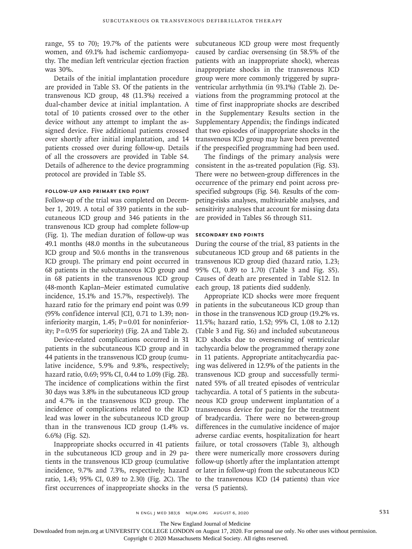range, 55 to 70); 19.7% of the patients were women, and 69.1% had ischemic cardiomyopathy. The median left ventricular ejection fraction was 30%.

Details of the initial implantation procedure are provided in Table S3. Of the patients in the transvenous ICD group, 48 (11.3%) received a dual-chamber device at initial implantation. A total of 10 patients crossed over to the other device without any attempt to implant the assigned device. Five additional patients crossed over shortly after initial implantation, and 14 patients crossed over during follow-up. Details of all the crossovers are provided in Table S4. Details of adherence to the device programming protocol are provided in Table S5.

### **Follow-up and Primary End Point**

Follow-up of the trial was completed on December 1, 2019. A total of 339 patients in the subcutaneous ICD group and 346 patients in the transvenous ICD group had complete follow-up (Fig. 1). The median duration of follow-up was 49.1 months (48.0 months in the subcutaneous ICD group and 50.6 months in the transvenous ICD group). The primary end point occurred in 68 patients in the subcutaneous ICD group and in 68 patients in the transvenous ICD group (48-month Kaplan–Meier estimated cumulative incidence, 15.1% and 15.7%, respectively). The hazard ratio for the primary end point was 0.99 (95% confidence interval [CI], 0.71 to 1.39; noninferiority margin, 1.45;  $P = 0.01$  for noninferiority; P=0.95 for superiority) (Fig. 2A and Table 2).

Device-related complications occurred in 31 patients in the subcutaneous ICD group and in 44 patients in the transvenous ICD group (cumulative incidence, 5.9% and 9.8%, respectively; hazard ratio, 0.69; 95% CI, 0.44 to 1.09) (Fig. 2B). The incidence of complications within the first 30 days was 3.8% in the subcutaneous ICD group and 4.7% in the transvenous ICD group. The incidence of complications related to the ICD lead was lower in the subcutaneous ICD group than in the transvenous ICD group (1.4% vs. 6.6%) (Fig. S2).

Inappropriate shocks occurred in 41 patients in the subcutaneous ICD group and in 29 patients in the transvenous ICD group (cumulative incidence, 9.7% and 7.3%, respectively; hazard ratio, 1.43; 95% CI, 0.89 to 2.30) (Fig. 2C). The first occurrences of inappropriate shocks in the subcutaneous ICD group were most frequently caused by cardiac oversensing (in 58.5% of the patients with an inappropriate shock), whereas inappropriate shocks in the transvenous ICD group were more commonly triggered by supraventricular arrhythmia (in 93.1%) (Table 2). Deviations from the programming protocol at the time of first inappropriate shocks are described in the Supplementary Results section in the Supplementary Appendix; the findings indicated that two episodes of inappropriate shocks in the transvenous ICD group may have been prevented if the prespecified programming had been used.

The findings of the primary analysis were consistent in the as-treated population (Fig. S3). There were no between-group differences in the occurrence of the primary end point across prespecified subgroups (Fig. S4). Results of the competing-risks analyses, multivariable analyses, and sensitivity analyses that account for missing data are provided in Tables S6 through S11.

# **Secondary End Points**

During the course of the trial, 83 patients in the subcutaneous ICD group and 68 patients in the transvenous ICD group died (hazard ratio, 1.23; 95% CI, 0.89 to 1.70) (Table 3 and Fig. S5). Causes of death are presented in Table S12. In each group, 18 patients died suddenly.

Appropriate ICD shocks were more frequent in patients in the subcutaneous ICD group than in those in the transvenous ICD group (19.2% vs. 11.5%; hazard ratio, 1.52; 95% CI, 1.08 to 2.12) (Table 3 and Fig. S6) and included subcutaneous ICD shocks due to oversensing of ventricular tachycardia below the programmed therapy zone in 11 patients. Appropriate antitachycardia pacing was delivered in 12.9% of the patients in the transvenous ICD group and successfully terminated 55% of all treated episodes of ventricular tachycardia. A total of 5 patients in the subcutaneous ICD group underwent implantation of a transvenous device for pacing for the treatment of bradycardia. There were no between-group differences in the cumulative incidence of major adverse cardiac events, hospitalization for heart failure, or total crossovers (Table 3), although there were numerically more crossovers during follow-up (shortly after the implantation attempt or later in follow-up) from the subcutaneous ICD to the transvenous ICD (14 patients) than vice versa (5 patients).

The New England Journal of Medicine

Downloaded from nejm.org at UNIVERSITY COLLEGE LONDON on August 17, 2020. For personal use only. No other uses without permission.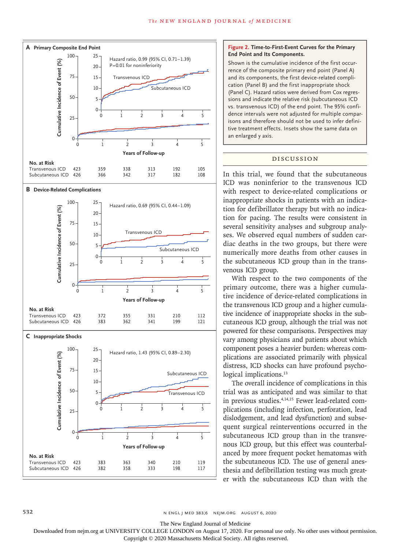

# **Figure 2. Time-to-First-Event Curves for the Primary End Point and Its Components.**

Shown is the cumulative incidence of the first occurrence of the composite primary end point (Panel A) and its components, the first device-related complication (Panel B) and the first inappropriate shock (Panel C). Hazard ratios were derived from Cox regressions and indicate the relative risk (subcutaneous ICD vs. transvenous ICD) of the end point. The 95% confidence intervals were not adjusted for multiple comparisons and therefore should not be used to infer definitive treatment effects. Insets show the same data on an enlarged y axis.

#### Discussion

In this trial, we found that the subcutaneous ICD was noninferior to the transvenous ICD with respect to device-related complications or inappropriate shocks in patients with an indication for defibrillator therapy but with no indication for pacing. The results were consistent in several sensitivity analyses and subgroup analyses. We observed equal numbers of sudden cardiac deaths in the two groups, but there were numerically more deaths from other causes in the subcutaneous ICD group than in the transvenous ICD group.

With respect to the two components of the primary outcome, there was a higher cumulative incidence of device-related complications in the transvenous ICD group and a higher cumulative incidence of inappropriate shocks in the subcutaneous ICD group, although the trial was not powered for these comparisons. Perspectives may vary among physicians and patients about which component poses a heavier burden: whereas complications are associated primarily with physical distress, ICD shocks can have profound psychological implications.<sup>13</sup>

The overall incidence of complications in this trial was as anticipated and was similar to that in previous studies.4,14,15 Fewer lead-related complications (including infection, perforation, lead dislodgement, and lead dysfunction) and subsequent surgical reinterventions occurred in the subcutaneous ICD group than in the transvenous ICD group, but this effect was counterbalanced by more frequent pocket hematomas with the subcutaneous ICD. The use of general anesthesia and defibrillation testing was much greater with the subcutaneous ICD than with the

532 **N ENGL J MED 383;6 NEIM.ORG AUGUST 6, 2020** 

The New England Journal of Medicine

Downloaded from nejm.org at UNIVERSITY COLLEGE LONDON on August 17, 2020. For personal use only. No other uses without permission.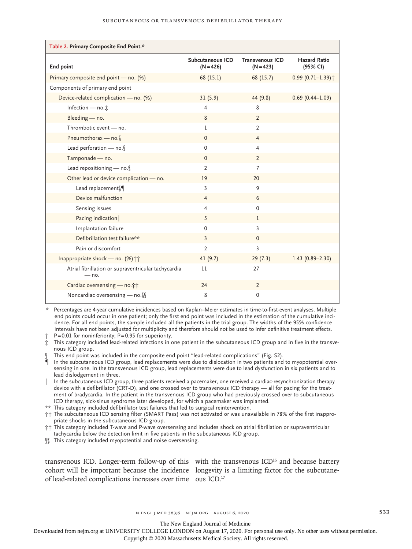| Table 2. Primary Composite End Point.*                         |                                 |                                       |                                  |
|----------------------------------------------------------------|---------------------------------|---------------------------------------|----------------------------------|
| End point                                                      | Subcutaneous ICD<br>$(N = 426)$ | <b>Transvenous ICD</b><br>$(N = 423)$ | <b>Hazard Ratio</b><br>(95% CI)  |
| Primary composite end point - no. (%)                          | 68 (15.1)                       | 68 (15.7)                             | $0.99(0.71 - 1.39)$ <sup>+</sup> |
| Components of primary end point                                |                                 |                                       |                                  |
| Device-related complication - no. (%)                          | 31(5.9)                         | 44 (9.8)                              | $0.69(0.44 - 1.09)$              |
| Infection - no.;                                               | $\overline{4}$                  | 8                                     |                                  |
| Bleeding - no.                                                 | 8                               | $\overline{2}$                        |                                  |
| Thrombotic event - no.                                         | 1                               | $\overline{2}$                        |                                  |
| Pneumothorax - no.                                             | $\Omega$                        | $\overline{4}$                        |                                  |
| Lead perforation - no.                                         | $\Omega$                        | $\overline{4}$                        |                                  |
| Tamponade - no.                                                | $\Omega$                        | $\overline{2}$                        |                                  |
| Lead repositioning - no.                                       | $\overline{2}$                  | $\overline{7}$                        |                                  |
| Other lead or device complication - no.                        | 19                              | 20                                    |                                  |
| Lead replacement <sub>s</sub>                                  | 3                               | 9                                     |                                  |
| Device malfunction                                             | $\overline{4}$                  | 6                                     |                                  |
| Sensing issues                                                 | 4                               | $\Omega$                              |                                  |
| Pacing indication                                              | 5                               | 1                                     |                                  |
| Implantation failure                                           | $\mathbf 0$                     | 3                                     |                                  |
| Defibrillation test failure**                                  | $\overline{3}$                  | $\mathbf{0}$                          |                                  |
| Pain or discomfort                                             | $\overline{2}$                  | $\overline{3}$                        |                                  |
| Inappropriate shock - no. (%) $\uparrow\uparrow$               | 41(9.7)                         | 29(7.3)                               | $1.43(0.89 - 2.30)$              |
| Atrial fibrillation or supraventricular tachycardia<br>$-$ no. | 11                              | 27                                    |                                  |
| Cardiac oversensing - no. ##                                   | 24                              | $\overline{2}$                        |                                  |
| Noncardiac oversensing - no. SS                                | 8                               | $\mathbf 0$                           |                                  |

Percentages are 4-year cumulative incidences based on Kaplan–Meier estimates in time-to-first-event analyses. Multiple end points could occur in one patient; only the first end point was included in the estimation of the cumulative incidence. For all end points, the sample included all the patients in the trial group. The widths of the 95% confidence intervals have not been adjusted for multiplicity and therefore should not be used to infer definitive treatment effects.

† P=0.01 for noninferiority; P=0.95 for superiority.

‡ This category included lead-related infections in one patient in the subcutaneous ICD group and in five in the transvenous ICD group.

This end point was included in the composite end point "lead-related complications" (Fig. S2).

In the subcutaneous ICD group, lead replacements were due to dislocation in two patients and to myopotential oversensing in one. In the transvenous ICD group, lead replacements were due to lead dysfunction in six patients and to lead dislodgement in three.

In the subcutaneous ICD group, three patients received a pacemaker, one received a cardiac-resynchronization therapy device with a defibrillator (CRT-D), and one crossed over to transvenous ICD therapy — all for pacing for the treatment of bradycardia. In the patient in the transvenous ICD group who had previously crossed over to subcutaneous ICD therapy, sick-sinus syndrome later developed, for which a pacemaker was implanted.

\*\* This category included defibrillator test failures that led to surgical reintervention.

†† The subcutaneous ICD sensing filter (SMART Pass) was not activated or was unavailable in 78% of the first inappropriate shocks in the subcutaneous ICD group.

‡‡ This category included T-wave and P-wave oversensing and includes shock on atrial fibrillation or supraventricular tachycardia below the detection limit in five patients in the subcutaneous ICD group.

This category included myopotential and noise oversensing.

transvenous ICD. Longer-term follow-up of this with the transvenous  $ICD<sup>16</sup>$  and because battery cohort will be important because the incidence longevity is a limiting factor for the subcutaneof lead-related complications increases over time ous ICD.<sup>17</sup>

The New England Journal of Medicine

Downloaded from nejm.org at UNIVERSITY COLLEGE LONDON on August 17, 2020. For personal use only. No other uses without permission.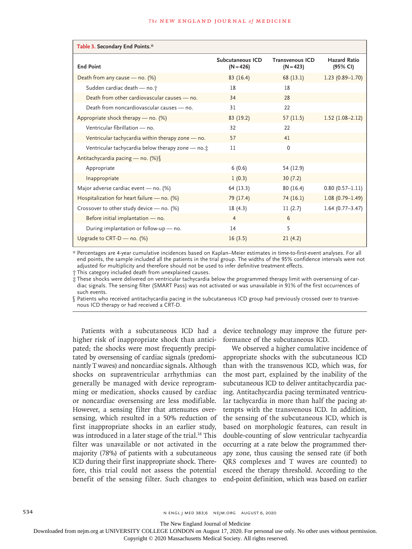| Table 3. Secondary End Points.*                              |                                 |                                       |                                 |
|--------------------------------------------------------------|---------------------------------|---------------------------------------|---------------------------------|
| <b>End Point</b>                                             | Subcutaneous ICD<br>$(N = 426)$ | <b>Transvenous ICD</b><br>$(N = 423)$ | <b>Hazard Ratio</b><br>(95% CI) |
| Death from any cause - no. (%)                               | 83(16.4)                        | 68 (13.1)                             | $1.23(0.89 - 1.70)$             |
| Sudden cardiac death - no.;                                  | 18                              | 18                                    |                                 |
| Death from other cardiovascular causes - no.                 | 34                              | 28                                    |                                 |
| Death from noncardiovascular causes - no.                    | 31                              | 22                                    |                                 |
| Appropriate shock therapy — no. $(\%)$                       | 83(19.2)                        | 57 (11.5)                             | $1.52(1.08 - 2.12)$             |
| Ventricular fibrillation - no.                               | 32                              | 22                                    |                                 |
| Ventricular tachycardia within therapy zone - no.            | 57                              | 41                                    |                                 |
| Ventricular tachycardia below therapy zone $-$ no. $\dot{x}$ | 11                              | $\Omega$                              |                                 |
| Antitachycardia pacing - no. (%) \                           |                                 |                                       |                                 |
| Appropriate                                                  | 6(0.6)                          | 54 (12.9)                             |                                 |
| Inappropriate                                                | 1(0.3)                          | 30(7.2)                               |                                 |
| Major adverse cardiac event - no. (%)                        | 64 (13.3)                       | 80 (16.4)                             | $0.80(0.57 - 1.11)$             |
| Hospitalization for heart failure - no. (%)                  | 79 (17.4)                       | 74 (16.1)                             | $1.08(0.79 - 1.49)$             |
| Crossover to other study device - no. (%)                    | 18(4.3)                         | 11(2.7)                               | $1.64(0.77 - 3.47)$             |
| Before initial implantation - no.                            | $\overline{4}$                  | 6                                     |                                 |
| During implantation or follow-up - no.                       | 14                              | 5                                     |                                 |
| Upgrade to CRT-D — no. $(\%)$                                | 16(3.5)                         | 21(4.2)                               |                                 |

\* Percentages are 4-year cumulative incidences based on Kaplan–Meier estimates in time-to-first-event analyses. For all end points, the sample included all the patients in the trial group. The widths of the 95% confidence intervals were not adjusted for multiplicity and therefore should not be used to infer definitive treatment effects.

† This category included death from unexplained causes.

‡ These shocks were delivered on ventricular tachycardia below the programmed therapy limit with oversensing of cardiac signals. The sensing filter (SMART Pass) was not activated or was unavailable in 91% of the first occurrences of such events.

§ Patients who received antitachycardia pacing in the subcutaneous ICD group had previously crossed over to transvenous ICD therapy or had received a CRT-D.

Patients with a subcutaneous ICD had a higher risk of inappropriate shock than anticipated; the shocks were most frequently precipitated by oversensing of cardiac signals (predominantly T waves) and noncardiac signals. Although shocks on supraventricular arrhythmias can generally be managed with device reprogramming or medication, shocks caused by cardiac or noncardiac oversensing are less modifiable. However, a sensing filter that attenuates oversensing, which resulted in a 50% reduction of first inappropriate shocks in an earlier study, was introduced in a later stage of the trial.<sup>18</sup> This filter was unavailable or not activated in the majority (78%) of patients with a subcutaneous ICD during their first inappropriate shock. Therefore, this trial could not assess the potential benefit of the sensing filter. Such changes to

device technology may improve the future performance of the subcutaneous ICD.

We observed a higher cumulative incidence of appropriate shocks with the subcutaneous ICD than with the transvenous ICD, which was, for the most part, explained by the inability of the subcutaneous ICD to deliver antitachycardia pacing. Antitachycardia pacing terminated ventricular tachycardia in more than half the pacing attempts with the transvenous ICD. In addition, the sensing of the subcutaneous ICD, which is based on morphologic features, can result in double-counting of slow ventricular tachycardia occurring at a rate below the programmed therapy zone, thus causing the sensed rate (if both QRS complexes and T waves are counted) to exceed the therapy threshold. According to the end-point definition, which was based on earlier

534 n engl j med 383;6 nejm.org August 6, 2020

The New England Journal of Medicine

Downloaded from nejm.org at UNIVERSITY COLLEGE LONDON on August 17, 2020. For personal use only. No other uses without permission.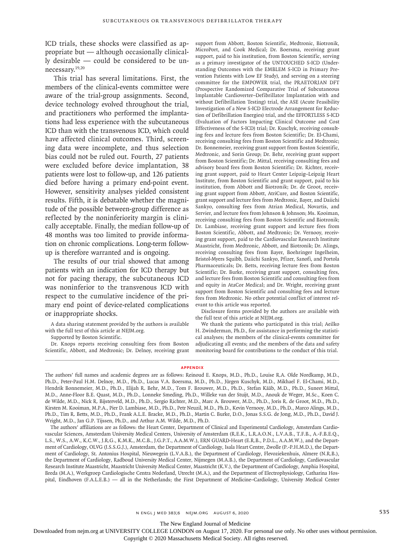ICD trials, these shocks were classified as appropriate but — although occasionally clinically desirable — could be considered to be unnecessary.19,20

This trial has several limitations. First, the members of the clinical-events committee were aware of the trial-group assignments. Second, device technology evolved throughout the trial, and practitioners who performed the implantations had less experience with the subcutaneous ICD than with the transvenous ICD, which could have affected clinical outcomes. Third, screening data were incomplete, and thus selection bias could not be ruled out. Fourth, 27 patients were excluded before device implantation, 38 patients were lost to follow-up, and 126 patients died before having a primary end-point event. However, sensitivity analyses yielded consistent results. Fifth, it is debatable whether the magnitude of the possible between-group difference as reflected by the noninferiority margin is clinically acceptable. Finally, the median follow-up of 48 months was too limited to provide information on chronic complications. Long-term followup is therefore warranted and is ongoing.

The results of our trial showed that among patients with an indication for ICD therapy but not for pacing therapy, the subcutaneous ICD was noninferior to the transvenous ICD with respect to the cumulative incidence of the primary end point of device-related complications or inappropriate shocks.

Supported by Boston Scientific.

Dr. Knops reports receiving consulting fees from Boston Scientific, Abbott, and Medtronic; Dr. Delnoy, receiving grant

support from Abbott, Boston Scientific, Medtronic, Biotronik, MicroPort, and Cook Medical; Dr. Boersma, receiving grant support, paid to his institution, from Boston Scientific, serving as a primary investigator of the UNTOUCHED S-ICD (Understanding Outcomes with the EMBLEM S-ICD in Primary Prevention Patients with Low EF Study), and serving on a steering committee for the EMPOWER trial, the PRAETORIAN DFT (Prospective Randomized Comparative Trial of Subcutaneous Implantable Cardioverter–Defibrillator Implantation with and without Defibrillation Testing) trial, the ASE (Acute Feasibility Investigation of a New S-ICD Electrode Arrangement for Reduction of Defibrillation Energies) trial, and the EFFORTLESS S-ICD (Evaluation of Factors Impacting Clinical Outcome and Cost Effectiveness of the S-ICD) trial; Dr. Kuschyk, receiving consulting fees and lecture fees from Boston Scientific; Dr. El-Chami, receiving consulting fees from Boston Scientific and Medtronic; Dr. Bonnemeier, receiving grant support from Boston Scientific, Medtronic, and Sorin Group; Dr. Behr, receiving grant support from Boston Scientific; Dr. Mittal, receiving consulting fees and advisory board fees from Boston Scientific; Dr. Richter, receiving grant support, paid to Heart Center Leipzig–Leipzig Heart Institute, from Boston Scientific and grant support, paid to his institution, from Abbott and Biotronik; Dr. de Groot, receiving grant support from Abbott, AtriCure, and Boston Scientific, grant support and lecture fees from Medtronic, Bayer, and Daiichi Sankyo, consulting fees from Atrian Medical, Novartis, and Servier, and lecture fees from Johnson & Johnson; Ms. Kooiman, receiving consulting fees from Boston Scientific and Biotronik; Dr. Lambiase, receiving grant support and lecture fees from Boston Scientific, Abbott, and Medtronic; Dr. Vernooy, receiving grant support, paid to the Cardiovascular Research Institute Maastricht, from Medtronic, Abbott, and Biotronik; Dr. Alings, receiving consulting fees from Bayer, Boehringer Ingelheim, Bristol-Myers Squibb, Daiichi Sankyo, Pfizer, Sanofi, and Portola Pharmaceuticals; Dr. Betts, receiving lecture fees from Boston Scientific; Dr. Burke, receiving grant support, consulting fees, and lecture fees from Boston Scientific and consulting fees from and equity in AtaCor Medical; and Dr. Wright, receiving grant support from Boston Scientific and consulting fees and lecture fees from Medtronic. No other potential conflict of interest relevant to this article was reported.

Disclosure forms provided by the authors are available with the full text of this article at NEJM.org.

We thank the patients who participated in this trial; Aeilko H. Zwinderman, Ph.D., for assistance in performing the statistical analyses; the members of the clinical-events committee for adjudicating all events; and the members of the data and safety monitoring board for contributions to the conduct of this trial.

#### **Appendix**

The authors' full names and academic degrees are as follows: Reinoud E. Knops, M.D., Ph.D., Louise R.A. Olde Nordkamp, M.D., Ph.D., Peter-Paul H.M. Delnoy, M.D., Ph.D., Lucas V.A. Boersma, M.D., Ph.D., Jürgen Kuschyk, M.D., Mikhael F. El-Chami, M.D., Hendrik Bonnemeier, M.D., Ph.D., Elijah R. Behr, M.D., Tom F. Brouwer, M.D., Ph.D., Stefan Kääb, M.D., Ph.D., Suneet Mittal, M.D., Anne-Floor B.E. Quast, M.D., Ph.D., Lonneke Smeding, Ph.D., Willeke van der Stuijt, M.D., Anouk de Weger, M.Sc., Koen C. de Wilde, M.D., Nick R. Bijsterveld, M.D., Ph.D., Sergio Richter, M.D., Marc A. Brouwer, M.D., Ph.D., Joris R. de Groot, M.D., Ph.D., Kirsten M. Kooiman, M.P.A., Pier D. Lambiase, M.D., Ph.D., Petr Neuzil, M.D., Ph.D., Kevin Vernooy, M.D., Ph.D., Marco Alings, M.D., Ph.D., Tim R. Betts, M.D., Ph.D., Frank A.L.E. Bracke, M.D., Ph.D., Martin C. Burke, D.O., Jonas S.S.G. de Jong, M.D., Ph.D., David J. Wright, M.D., Jan G.P. Tijssen, Ph.D., and Arthur A.M. Wilde, M.D., Ph.D.

The authors' affiliations are as follows: the Heart Center, Department of Clinical and Experimental Cardiology, Amsterdam Cardiovascular Sciences, Amsterdam University Medical Centers, University of Amsterdam (R.E.K., L.R.A.O.N., L.V.A.B., T.F.B., A.-F.B.E.Q., L.S., W.S., A.W., K.C.W., J.R.G., K.M.K., M.C.B., J.G.P.T., A.A.M.W.), ERN GUARD-Heart (E.R.B., P.D.L., A.A.M.W.), and the Department of Cardiology, OLVG (J.S.S.G.J.), Amsterdam, the Department of Cardiology, Isala Heart Centre, Zwolle (P.-P.H.M.D.), the Department of Cardiology, St. Antonius Hospital, Nieuwegein (L.V.A.B.), the Department of Cardiology, Flevoziekenhuis, Almere (N.R.B.), the Department of Cardiology, Radboud University Medical Center, Nijmegen (M.A.B.), the Department of Cardiology, Cardiovascular Research Institute Maastricht, Maastricht University Medical Center, Maastricht (K.V.), the Department of Cardiology, Amphia Hospital, Breda (M.A.), Werkgroep Cardiologische Centra Nederland, Utrecht (M.A.), and the Department of Electrophysiology, Catharina Hospital, Eindhoven (F.A.L.E.B.) — all in the Netherlands; the First Department of Medicine–Cardiology, University Medical Center

The New England Journal of Medicine

Downloaded from nejm.org at UNIVERSITY COLLEGE LONDON on August 17, 2020. For personal use only. No other uses without permission.

A data sharing statement provided by the authors is available with the full text of this article at NEJM.org.